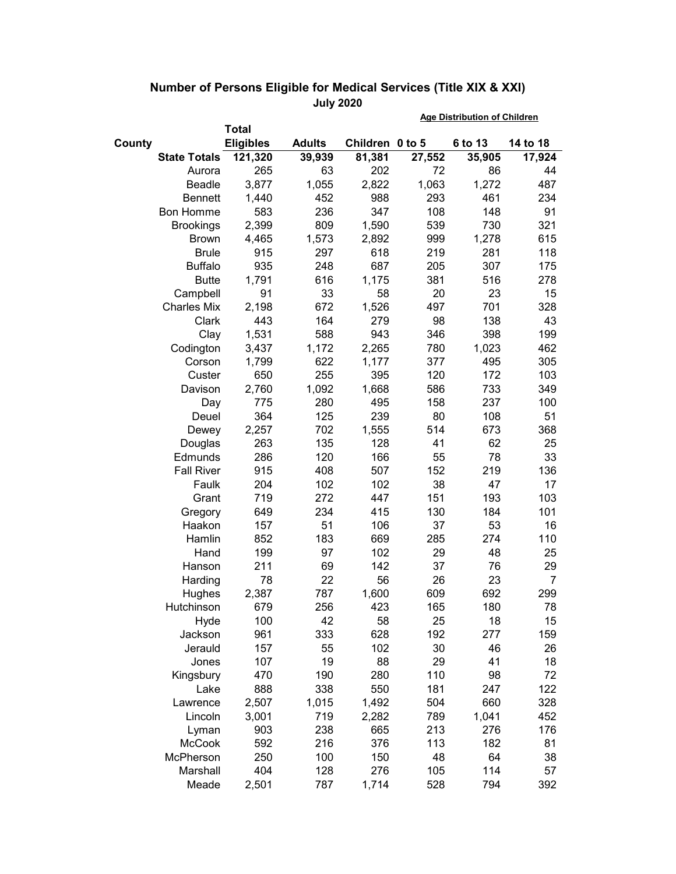|                     |                  |               | <b>Age Distribution of Children</b> |        |         |          |
|---------------------|------------------|---------------|-------------------------------------|--------|---------|----------|
|                     | <b>Total</b>     |               |                                     |        |         |          |
| County              | <b>Eligibles</b> | <b>Adults</b> | Children 0 to 5                     |        | 6 to 13 | 14 to 18 |
| <b>State Totals</b> | 121,320          | 39,939        | 81,381                              | 27,552 | 35,905  | 17,924   |
| Aurora              | 265              | 63            | 202                                 | 72     | 86      | 44       |
| <b>Beadle</b>       | 3,877            | 1,055         | 2,822                               | 1,063  | 1,272   | 487      |
| <b>Bennett</b>      | 1,440            | 452           | 988                                 | 293    | 461     | 234      |
| <b>Bon Homme</b>    | 583              | 236           | 347                                 | 108    | 148     | 91       |
| <b>Brookings</b>    | 2,399            | 809           | 1,590                               | 539    | 730     | 321      |
| <b>Brown</b>        | 4,465            | 1,573         | 2,892                               | 999    | 1,278   | 615      |
| <b>Brule</b>        | 915              | 297           | 618                                 | 219    | 281     | 118      |
| <b>Buffalo</b>      | 935              | 248           | 687                                 | 205    | 307     | 175      |
| <b>Butte</b>        | 1,791            | 616           | 1,175                               | 381    | 516     | 278      |
| Campbell            | 91               | 33            | 58                                  | 20     | 23      | 15       |
| <b>Charles Mix</b>  | 2,198            | 672           | 1,526                               | 497    | 701     | 328      |
| Clark               | 443              | 164           | 279                                 | 98     | 138     | 43       |
| Clay                | 1,531            | 588           | 943                                 | 346    | 398     | 199      |
| Codington           | 3,437            | 1,172         | 2,265                               | 780    | 1,023   | 462      |
| Corson              | 1,799            | 622           | 1,177                               | 377    | 495     | 305      |
| Custer              | 650              | 255           | 395                                 | 120    | 172     | 103      |
| Davison             | 2,760            | 1,092         | 1,668                               | 586    | 733     | 349      |
| Day                 | 775              | 280           | 495                                 | 158    | 237     | 100      |
| Deuel               | 364              | 125           | 239                                 | 80     | 108     | 51       |
| Dewey               | 2,257            | 702           | 1,555                               | 514    | 673     | 368      |
| Douglas             | 263              | 135           | 128                                 | 41     | 62      | 25       |
| Edmunds             | 286              | 120           | 166                                 | 55     | 78      | 33       |
| <b>Fall River</b>   | 915              | 408           | 507                                 | 152    | 219     | 136      |
| Faulk               | 204              | 102           | 102                                 | 38     | 47      | 17       |
| Grant               | 719              | 272           | 447                                 | 151    | 193     | 103      |
| Gregory             | 649              | 234           | 415                                 | 130    | 184     | 101      |
| Haakon              | 157              | 51            | 106                                 | 37     | 53      | 16       |
| Hamlin              | 852              | 183           | 669                                 | 285    | 274     | 110      |
| Hand                | 199              | 97            | 102                                 | 29     | 48      | 25       |
| Hanson              | 211              | 69            | 142                                 | 37     | 76      | 29       |
| Harding             | 78               | 22            | 56                                  | 26     | 23      | 7        |
| Hughes              | 2,387            | 787           | 1,600                               | 609    | 692     | 299      |
| Hutchinson          | 679              | 256           | 423                                 | 165    | 180     | 78       |
| Hyde                | 100              | 42            | 58                                  | 25     | 18      | 15       |
| Jackson             | 961              | 333           | 628                                 | 192    | 277     | 159      |
| Jerauld             | 157              | 55            | 102                                 | 30     | 46      | 26       |
| Jones               | 107              | 19            | 88                                  | 29     | 41      | 18       |
| Kingsbury           | 470              | 190           | 280                                 | 110    | 98      | 72       |
| Lake                | 888              | 338           | 550                                 | 181    | 247     | 122      |
| Lawrence            | 2,507            | 1,015         | 1,492                               | 504    | 660     | 328      |
| Lincoln             | 3,001            | 719           | 2,282                               | 789    | 1,041   | 452      |
| Lyman               | 903              | 238           | 665                                 | 213    | 276     | 176      |
| <b>McCook</b>       | 592              | 216           | 376                                 | 113    | 182     | 81       |
| McPherson           | 250              | 100           | 150                                 | 48     | 64      | 38       |
| Marshall            | 404              | 128           | 276                                 | 105    | 114     | 57       |
| Meade               | 2,501            | 787           | 1,714                               | 528    | 794     | 392      |

## **Number of Persons Eligible for Medical Services (Title XIX & XXI) July 2020**